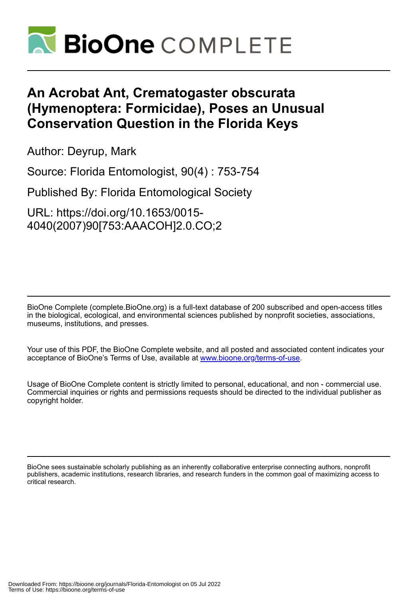

## **An Acrobat Ant, Crematogaster obscurata (Hymenoptera: Formicidae), Poses an Unusual Conservation Question in the Florida Keys**

Author: Deyrup, Mark

Source: Florida Entomologist, 90(4) : 753-754

Published By: Florida Entomological Society

URL: https://doi.org/10.1653/0015- 4040(2007)90[753:AAACOH]2.0.CO;2

BioOne Complete (complete.BioOne.org) is a full-text database of 200 subscribed and open-access titles in the biological, ecological, and environmental sciences published by nonprofit societies, associations, museums, institutions, and presses.

Your use of this PDF, the BioOne Complete website, and all posted and associated content indicates your acceptance of BioOne's Terms of Use, available at www.bioone.org/terms-of-use.

Usage of BioOne Complete content is strictly limited to personal, educational, and non - commercial use. Commercial inquiries or rights and permissions requests should be directed to the individual publisher as copyright holder.

BioOne sees sustainable scholarly publishing as an inherently collaborative enterprise connecting authors, nonprofit publishers, academic institutions, research libraries, and research funders in the common goal of maximizing access to critical research.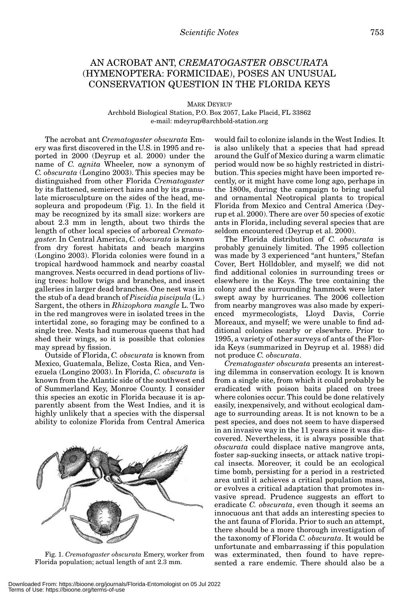## AN ACROBAT ANT, *CREMATOGASTER OBSCURATA* (HYMENOPTERA: FORMICIDAE), POSES AN UNUSUAL CONSERVATION QUESTION IN THE FLORIDA KEYS

MARK DEYRUP

Archbold Biological Station, P.O. Box 2057, Lake Placid, FL 33862 e-mail: mdeyrup@archbold-station.org

The acrobat ant *Crematogaster obscurata* Emery was first discovered in the U.S. in 1995 and reported in 2000 (Deyrup et al. 2000) under the name of *C. agnita* Wheeler, now a synonym of *C. obscurata* (Longino 2003). This species may be distinguished from other Florida *Crematogaster* by its flattened, semierect hairs and by its granulate microsculpture on the sides of the head, mesopleura and propodeum (Fig. 1). In the field it may be recognized by its small size: workers are about 2.3 mm in length, about two thirds the length of other local species of arboreal *Crematogaster*. In Central America, *C. obscurata* is known from dry forest habitats and beach margins (Longino 2003). Florida colonies were found in a tropical hardwood hammock and nearby coastal mangroves. Nests occurred in dead portions of living trees: hollow twigs and branches, and insect galleries in larger dead branches. One nest was in the stub of a dead branch of *Piscidia piscipula* (L.) Sargent, the others in *Rhizophora mangle* L. Two in the red mangroves were in isolated trees in the intertidal zone, so foraging may be confined to a single tree. Nests had numerous queens that had shed their wings, so it is possible that colonies may spread by fission.

Outside of Florida, *C. obscurata* is known from Mexico, Guatemala, Belize, Costa Rica, and Venezuela (Longino 2003). In Florida, *C. obscurata* is known from the Atlantic side of the southwest end of Summerland Key, Monroe County. I consider this species an exotic in Florida because it is apparently absent from the West Indies, and it is highly unlikely that a species with the dispersal ability to colonize Florida from Central America



Fig. 1. *Crematogaster obscurata* Emery, worker from Florida population; actual length of ant 2.3 mm.

would fail to colonize islands in the West Indies. It is also unlikely that a species that had spread around the Gulf of Mexico during a warm climatic period would now be so highly restricted in distribution. This species might have been imported recently, or it might have come long ago, perhaps in the 1800s, during the campaign to bring useful and ornamental Neotropical plants to tropical Florida from Mexico and Central America (Deyrup et al. 2000). There are over 50 species of exotic ants in Florida, including several species that are seldom encountered (Deyrup et al. 2000).

The Florida distribution of *C. obscurata* is probably genuinely limited. The 1995 collection was made by 3 experienced "ant hunters," Stefan Cover, Bert Hölldobler, and myself; we did not find additional colonies in surrounding trees or elsewhere in the Keys. The tree containing the colony and the surrounding hammock were later swept away by hurricanes. The 2006 collection from nearby mangroves was also made by experienced myrmecologists, Lloyd Davis, Corrie Moreaux, and myself; we were unable to find additional colonies nearby or elsewhere. Prior to 1995, a variety of other surveys of ants of the Florida Keys (summarized in Deyrup et al. 1988) did not produce *C. obscurata*.

*Crematogaster obscurata* presents an interesting dilemma in conservation ecology. It is known from a single site, from which it could probably be eradicated with poison baits placed on trees where colonies occur. This could be done relatively easily, inexpensively, and without ecological damage to surrounding areas. It is not known to be a pest species, and does not seem to have dispersed in an invasive way in the 11 years since it was discovered. Nevertheless, it is always possible that *obscurata* could displace native mangrove ants, foster sap-sucking insects, or attack native tropical insects. Moreover, it could be an ecological time bomb, persisting for a period in a restricted area until it achieves a critical population mass, or evolves a critical adaptation that promotes invasive spread. Prudence suggests an effort to eradicate *C. obscurata*, even though it seems an innocuous ant that adds an interesting species to the ant fauna of Florida. Prior to such an attempt, there should be a more thorough investigation of the taxonomy of Florida *C. obscurata*. It would be unfortunate and embarrassing if this population was exterminated, then found to have represented a rare endemic. There should also be a